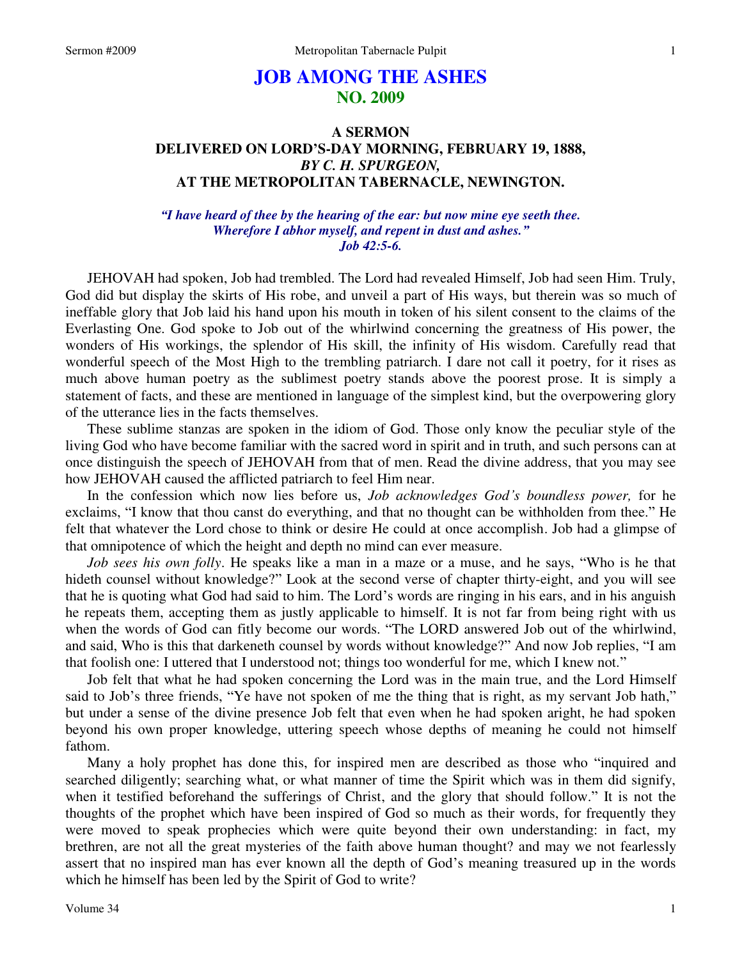# **JOB AMONG THE ASHES NO. 2009**

## **A SERMON DELIVERED ON LORD'S-DAY MORNING, FEBRUARY 19, 1888,**  *BY C. H. SPURGEON,*  **AT THE METROPOLITAN TABERNACLE, NEWINGTON.**

*"I have heard of thee by the hearing of the ear: but now mine eye seeth thee. Wherefore I abhor myself, and repent in dust and ashes." Job 42:5-6.* 

JEHOVAH had spoken, Job had trembled. The Lord had revealed Himself, Job had seen Him. Truly, God did but display the skirts of His robe, and unveil a part of His ways, but therein was so much of ineffable glory that Job laid his hand upon his mouth in token of his silent consent to the claims of the Everlasting One. God spoke to Job out of the whirlwind concerning the greatness of His power, the wonders of His workings, the splendor of His skill, the infinity of His wisdom. Carefully read that wonderful speech of the Most High to the trembling patriarch. I dare not call it poetry, for it rises as much above human poetry as the sublimest poetry stands above the poorest prose. It is simply a statement of facts, and these are mentioned in language of the simplest kind, but the overpowering glory of the utterance lies in the facts themselves.

These sublime stanzas are spoken in the idiom of God. Those only know the peculiar style of the living God who have become familiar with the sacred word in spirit and in truth, and such persons can at once distinguish the speech of JEHOVAH from that of men. Read the divine address, that you may see how JEHOVAH caused the afflicted patriarch to feel Him near.

In the confession which now lies before us, *Job acknowledges God's boundless power,* for he exclaims, "I know that thou canst do everything, and that no thought can be withholden from thee." He felt that whatever the Lord chose to think or desire He could at once accomplish. Job had a glimpse of that omnipotence of which the height and depth no mind can ever measure.

*Job sees his own folly*. He speaks like a man in a maze or a muse, and he says, "Who is he that hideth counsel without knowledge?" Look at the second verse of chapter thirty-eight, and you will see that he is quoting what God had said to him. The Lord's words are ringing in his ears, and in his anguish he repeats them, accepting them as justly applicable to himself. It is not far from being right with us when the words of God can fitly become our words. "The LORD answered Job out of the whirlwind, and said, Who is this that darkeneth counsel by words without knowledge?" And now Job replies, "I am that foolish one: I uttered that I understood not; things too wonderful for me, which I knew not."

Job felt that what he had spoken concerning the Lord was in the main true, and the Lord Himself said to Job's three friends, "Ye have not spoken of me the thing that is right, as my servant Job hath," but under a sense of the divine presence Job felt that even when he had spoken aright, he had spoken beyond his own proper knowledge, uttering speech whose depths of meaning he could not himself fathom.

Many a holy prophet has done this, for inspired men are described as those who "inquired and searched diligently; searching what, or what manner of time the Spirit which was in them did signify, when it testified beforehand the sufferings of Christ, and the glory that should follow." It is not the thoughts of the prophet which have been inspired of God so much as their words, for frequently they were moved to speak prophecies which were quite beyond their own understanding: in fact, my brethren, are not all the great mysteries of the faith above human thought? and may we not fearlessly assert that no inspired man has ever known all the depth of God's meaning treasured up in the words which he himself has been led by the Spirit of God to write?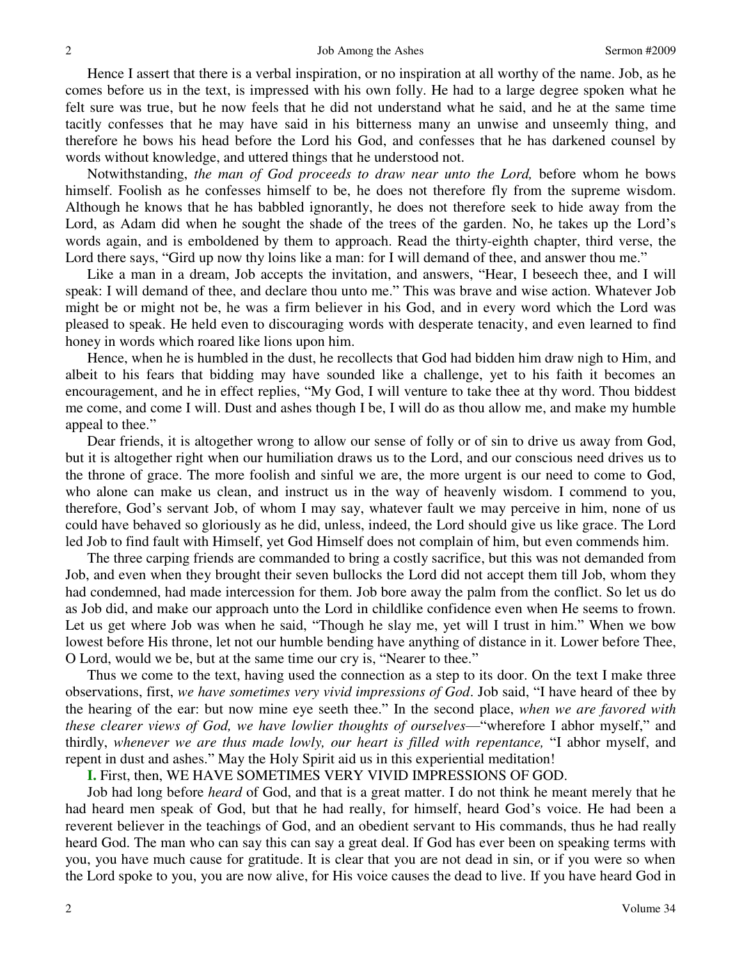Hence I assert that there is a verbal inspiration, or no inspiration at all worthy of the name. Job, as he comes before us in the text, is impressed with his own folly. He had to a large degree spoken what he felt sure was true, but he now feels that he did not understand what he said, and he at the same time tacitly confesses that he may have said in his bitterness many an unwise and unseemly thing, and therefore he bows his head before the Lord his God, and confesses that he has darkened counsel by words without knowledge, and uttered things that he understood not.

Notwithstanding, *the man of God proceeds to draw near unto the Lord,* before whom he bows himself. Foolish as he confesses himself to be, he does not therefore fly from the supreme wisdom. Although he knows that he has babbled ignorantly, he does not therefore seek to hide away from the Lord, as Adam did when he sought the shade of the trees of the garden. No, he takes up the Lord's words again, and is emboldened by them to approach. Read the thirty-eighth chapter, third verse, the Lord there says, "Gird up now thy loins like a man: for I will demand of thee, and answer thou me."

Like a man in a dream, Job accepts the invitation, and answers, "Hear, I beseech thee, and I will speak: I will demand of thee, and declare thou unto me." This was brave and wise action. Whatever Job might be or might not be, he was a firm believer in his God, and in every word which the Lord was pleased to speak. He held even to discouraging words with desperate tenacity, and even learned to find honey in words which roared like lions upon him.

Hence, when he is humbled in the dust, he recollects that God had bidden him draw nigh to Him, and albeit to his fears that bidding may have sounded like a challenge, yet to his faith it becomes an encouragement, and he in effect replies, "My God, I will venture to take thee at thy word. Thou biddest me come, and come I will. Dust and ashes though I be, I will do as thou allow me, and make my humble appeal to thee."

Dear friends, it is altogether wrong to allow our sense of folly or of sin to drive us away from God, but it is altogether right when our humiliation draws us to the Lord, and our conscious need drives us to the throne of grace. The more foolish and sinful we are, the more urgent is our need to come to God, who alone can make us clean, and instruct us in the way of heavenly wisdom. I commend to you, therefore, God's servant Job, of whom I may say, whatever fault we may perceive in him, none of us could have behaved so gloriously as he did, unless, indeed, the Lord should give us like grace. The Lord led Job to find fault with Himself, yet God Himself does not complain of him, but even commends him.

The three carping friends are commanded to bring a costly sacrifice, but this was not demanded from Job, and even when they brought their seven bullocks the Lord did not accept them till Job, whom they had condemned, had made intercession for them. Job bore away the palm from the conflict. So let us do as Job did, and make our approach unto the Lord in childlike confidence even when He seems to frown. Let us get where Job was when he said, "Though he slay me, yet will I trust in him." When we bow lowest before His throne, let not our humble bending have anything of distance in it. Lower before Thee, O Lord, would we be, but at the same time our cry is, "Nearer to thee."

Thus we come to the text, having used the connection as a step to its door. On the text I make three observations, first, *we have sometimes very vivid impressions of God*. Job said, "I have heard of thee by the hearing of the ear: but now mine eye seeth thee." In the second place, *when we are favored with these clearer views of God, we have lowlier thoughts of ourselves*—"wherefore I abhor myself," and thirdly, *whenever we are thus made lowly, our heart is filled with repentance,* "I abhor myself, and repent in dust and ashes." May the Holy Spirit aid us in this experiential meditation!

**I.** First, then, WE HAVE SOMETIMES VERY VIVID IMPRESSIONS OF GOD.

Job had long before *heard* of God, and that is a great matter. I do not think he meant merely that he had heard men speak of God, but that he had really, for himself, heard God's voice. He had been a reverent believer in the teachings of God, and an obedient servant to His commands, thus he had really heard God. The man who can say this can say a great deal. If God has ever been on speaking terms with you, you have much cause for gratitude. It is clear that you are not dead in sin, or if you were so when the Lord spoke to you, you are now alive, for His voice causes the dead to live. If you have heard God in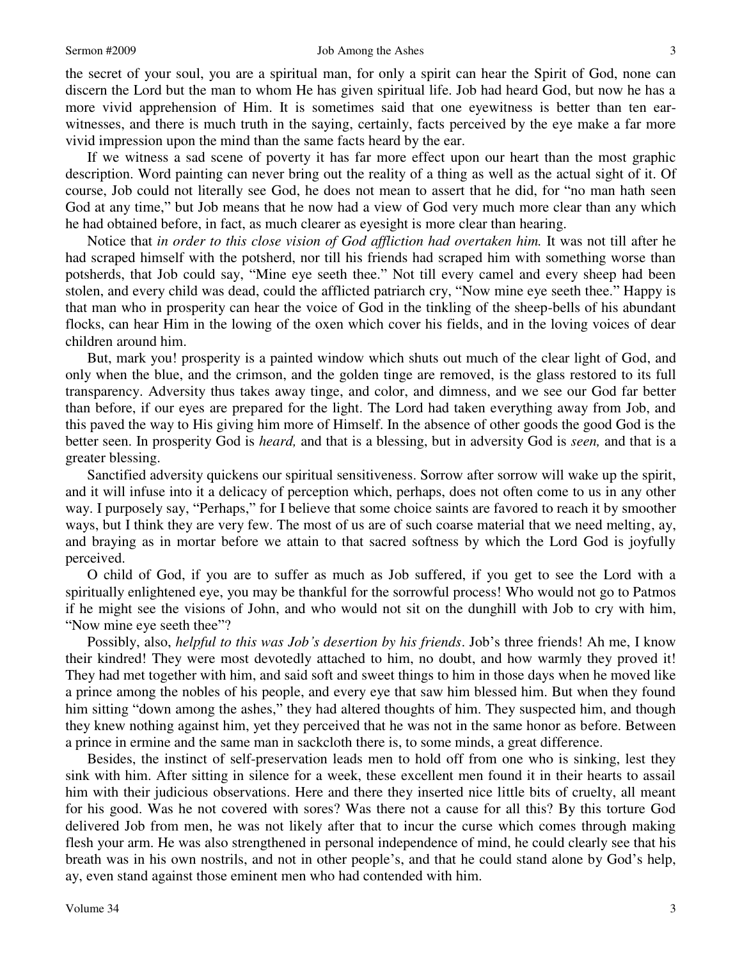#### Sermon #2009 Job Among the Ashes

the secret of your soul, you are a spiritual man, for only a spirit can hear the Spirit of God, none can discern the Lord but the man to whom He has given spiritual life. Job had heard God, but now he has a more vivid apprehension of Him. It is sometimes said that one eyewitness is better than ten earwitnesses, and there is much truth in the saying, certainly, facts perceived by the eye make a far more vivid impression upon the mind than the same facts heard by the ear.

If we witness a sad scene of poverty it has far more effect upon our heart than the most graphic description. Word painting can never bring out the reality of a thing as well as the actual sight of it. Of course, Job could not literally see God, he does not mean to assert that he did, for "no man hath seen God at any time," but Job means that he now had a view of God very much more clear than any which he had obtained before, in fact, as much clearer as eyesight is more clear than hearing.

Notice that *in order to this close vision of God affliction had overtaken him.* It was not till after he had scraped himself with the potsherd, nor till his friends had scraped him with something worse than potsherds, that Job could say, "Mine eye seeth thee." Not till every camel and every sheep had been stolen, and every child was dead, could the afflicted patriarch cry, "Now mine eye seeth thee." Happy is that man who in prosperity can hear the voice of God in the tinkling of the sheep-bells of his abundant flocks, can hear Him in the lowing of the oxen which cover his fields, and in the loving voices of dear children around him.

But, mark you! prosperity is a painted window which shuts out much of the clear light of God, and only when the blue, and the crimson, and the golden tinge are removed, is the glass restored to its full transparency. Adversity thus takes away tinge, and color, and dimness, and we see our God far better than before, if our eyes are prepared for the light. The Lord had taken everything away from Job, and this paved the way to His giving him more of Himself. In the absence of other goods the good God is the better seen. In prosperity God is *heard,* and that is a blessing, but in adversity God is *seen,* and that is a greater blessing.

Sanctified adversity quickens our spiritual sensitiveness. Sorrow after sorrow will wake up the spirit, and it will infuse into it a delicacy of perception which, perhaps, does not often come to us in any other way. I purposely say, "Perhaps," for I believe that some choice saints are favored to reach it by smoother ways, but I think they are very few. The most of us are of such coarse material that we need melting, ay, and braying as in mortar before we attain to that sacred softness by which the Lord God is joyfully perceived.

O child of God, if you are to suffer as much as Job suffered, if you get to see the Lord with a spiritually enlightened eye, you may be thankful for the sorrowful process! Who would not go to Patmos if he might see the visions of John, and who would not sit on the dunghill with Job to cry with him, "Now mine eye seeth thee"?

Possibly, also, *helpful to this was Job's desertion by his friends*. Job's three friends! Ah me, I know their kindred! They were most devotedly attached to him, no doubt, and how warmly they proved it! They had met together with him, and said soft and sweet things to him in those days when he moved like a prince among the nobles of his people, and every eye that saw him blessed him. But when they found him sitting "down among the ashes," they had altered thoughts of him. They suspected him, and though they knew nothing against him, yet they perceived that he was not in the same honor as before. Between a prince in ermine and the same man in sackcloth there is, to some minds, a great difference.

Besides, the instinct of self-preservation leads men to hold off from one who is sinking, lest they sink with him. After sitting in silence for a week, these excellent men found it in their hearts to assail him with their judicious observations. Here and there they inserted nice little bits of cruelty, all meant for his good. Was he not covered with sores? Was there not a cause for all this? By this torture God delivered Job from men, he was not likely after that to incur the curse which comes through making flesh your arm. He was also strengthened in personal independence of mind, he could clearly see that his breath was in his own nostrils, and not in other people's, and that he could stand alone by God's help, ay, even stand against those eminent men who had contended with him.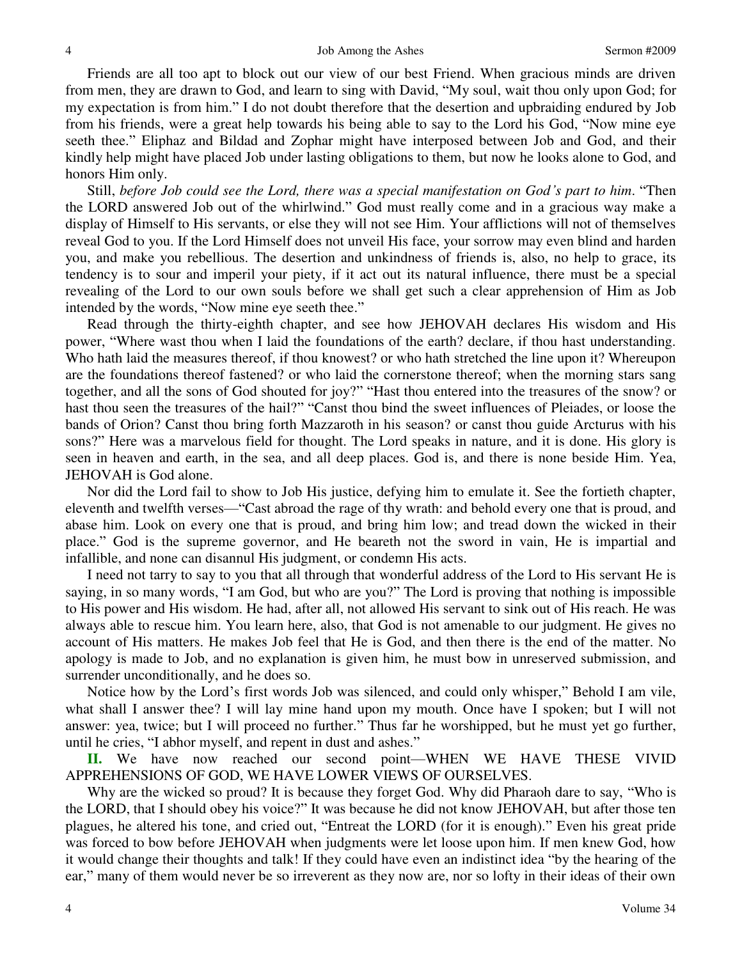Friends are all too apt to block out our view of our best Friend. When gracious minds are driven from men, they are drawn to God, and learn to sing with David, "My soul, wait thou only upon God; for my expectation is from him." I do not doubt therefore that the desertion and upbraiding endured by Job from his friends, were a great help towards his being able to say to the Lord his God, "Now mine eye seeth thee." Eliphaz and Bildad and Zophar might have interposed between Job and God, and their kindly help might have placed Job under lasting obligations to them, but now he looks alone to God, and honors Him only.

Still, *before Job could see the Lord, there was a special manifestation on God's part to him*. "Then the LORD answered Job out of the whirlwind." God must really come and in a gracious way make a display of Himself to His servants, or else they will not see Him. Your afflictions will not of themselves reveal God to you. If the Lord Himself does not unveil His face, your sorrow may even blind and harden you, and make you rebellious. The desertion and unkindness of friends is, also, no help to grace, its tendency is to sour and imperil your piety, if it act out its natural influence, there must be a special revealing of the Lord to our own souls before we shall get such a clear apprehension of Him as Job intended by the words, "Now mine eye seeth thee."

Read through the thirty-eighth chapter, and see how JEHOVAH declares His wisdom and His power, "Where wast thou when I laid the foundations of the earth? declare, if thou hast understanding. Who hath laid the measures thereof, if thou knowest? or who hath stretched the line upon it? Whereupon are the foundations thereof fastened? or who laid the cornerstone thereof; when the morning stars sang together, and all the sons of God shouted for joy?" "Hast thou entered into the treasures of the snow? or hast thou seen the treasures of the hail?" "Canst thou bind the sweet influences of Pleiades, or loose the bands of Orion? Canst thou bring forth Mazzaroth in his season? or canst thou guide Arcturus with his sons?" Here was a marvelous field for thought. The Lord speaks in nature, and it is done. His glory is seen in heaven and earth, in the sea, and all deep places. God is, and there is none beside Him. Yea, JEHOVAH is God alone.

Nor did the Lord fail to show to Job His justice, defying him to emulate it. See the fortieth chapter, eleventh and twelfth verses—"Cast abroad the rage of thy wrath: and behold every one that is proud, and abase him. Look on every one that is proud, and bring him low; and tread down the wicked in their place." God is the supreme governor, and He beareth not the sword in vain, He is impartial and infallible, and none can disannul His judgment, or condemn His acts.

I need not tarry to say to you that all through that wonderful address of the Lord to His servant He is saying, in so many words, "I am God, but who are you?" The Lord is proving that nothing is impossible to His power and His wisdom. He had, after all, not allowed His servant to sink out of His reach. He was always able to rescue him. You learn here, also, that God is not amenable to our judgment. He gives no account of His matters. He makes Job feel that He is God, and then there is the end of the matter. No apology is made to Job, and no explanation is given him, he must bow in unreserved submission, and surrender unconditionally, and he does so.

Notice how by the Lord's first words Job was silenced, and could only whisper," Behold I am vile, what shall I answer thee? I will lay mine hand upon my mouth. Once have I spoken; but I will not answer: yea, twice; but I will proceed no further." Thus far he worshipped, but he must yet go further, until he cries, "I abhor myself, and repent in dust and ashes."

**II.** We have now reached our second point—WHEN WE HAVE THESE VIVID APPREHENSIONS OF GOD, WE HAVE LOWER VIEWS OF OURSELVES.

Why are the wicked so proud? It is because they forget God. Why did Pharaoh dare to say, "Who is the LORD, that I should obey his voice?" It was because he did not know JEHOVAH, but after those ten plagues, he altered his tone, and cried out, "Entreat the LORD (for it is enough)." Even his great pride was forced to bow before JEHOVAH when judgments were let loose upon him. If men knew God, how it would change their thoughts and talk! If they could have even an indistinct idea "by the hearing of the ear," many of them would never be so irreverent as they now are, nor so lofty in their ideas of their own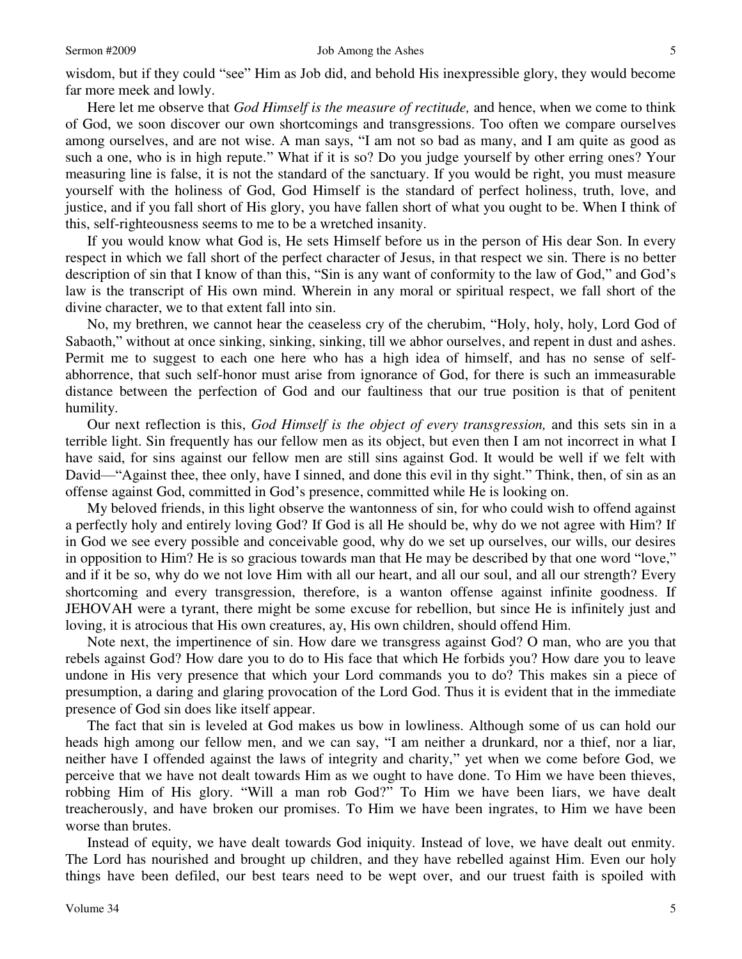wisdom, but if they could "see" Him as Job did, and behold His inexpressible glory, they would become far more meek and lowly.

Here let me observe that *God Himself is the measure of rectitude,* and hence, when we come to think of God, we soon discover our own shortcomings and transgressions. Too often we compare ourselves among ourselves, and are not wise. A man says, "I am not so bad as many, and I am quite as good as such a one, who is in high repute." What if it is so? Do you judge yourself by other erring ones? Your measuring line is false, it is not the standard of the sanctuary. If you would be right, you must measure yourself with the holiness of God, God Himself is the standard of perfect holiness, truth, love, and justice, and if you fall short of His glory, you have fallen short of what you ought to be. When I think of this, self-righteousness seems to me to be a wretched insanity.

If you would know what God is, He sets Himself before us in the person of His dear Son. In every respect in which we fall short of the perfect character of Jesus, in that respect we sin. There is no better description of sin that I know of than this, "Sin is any want of conformity to the law of God," and God's law is the transcript of His own mind. Wherein in any moral or spiritual respect, we fall short of the divine character, we to that extent fall into sin.

No, my brethren, we cannot hear the ceaseless cry of the cherubim, "Holy, holy, holy, Lord God of Sabaoth," without at once sinking, sinking, sinking, till we abhor ourselves, and repent in dust and ashes. Permit me to suggest to each one here who has a high idea of himself, and has no sense of selfabhorrence, that such self-honor must arise from ignorance of God, for there is such an immeasurable distance between the perfection of God and our faultiness that our true position is that of penitent humility.

Our next reflection is this, *God Himself is the object of every transgression,* and this sets sin in a terrible light. Sin frequently has our fellow men as its object, but even then I am not incorrect in what I have said, for sins against our fellow men are still sins against God. It would be well if we felt with David—"Against thee, thee only, have I sinned, and done this evil in thy sight." Think, then, of sin as an offense against God, committed in God's presence, committed while He is looking on.

My beloved friends, in this light observe the wantonness of sin, for who could wish to offend against a perfectly holy and entirely loving God? If God is all He should be, why do we not agree with Him? If in God we see every possible and conceivable good, why do we set up ourselves, our wills, our desires in opposition to Him? He is so gracious towards man that He may be described by that one word "love," and if it be so, why do we not love Him with all our heart, and all our soul, and all our strength? Every shortcoming and every transgression, therefore, is a wanton offense against infinite goodness. If JEHOVAH were a tyrant, there might be some excuse for rebellion, but since He is infinitely just and loving, it is atrocious that His own creatures, ay, His own children, should offend Him.

Note next, the impertinence of sin. How dare we transgress against God? O man, who are you that rebels against God? How dare you to do to His face that which He forbids you? How dare you to leave undone in His very presence that which your Lord commands you to do? This makes sin a piece of presumption, a daring and glaring provocation of the Lord God. Thus it is evident that in the immediate presence of God sin does like itself appear.

The fact that sin is leveled at God makes us bow in lowliness. Although some of us can hold our heads high among our fellow men, and we can say, "I am neither a drunkard, nor a thief, nor a liar, neither have I offended against the laws of integrity and charity," yet when we come before God, we perceive that we have not dealt towards Him as we ought to have done. To Him we have been thieves, robbing Him of His glory. "Will a man rob God?" To Him we have been liars, we have dealt treacherously, and have broken our promises. To Him we have been ingrates, to Him we have been worse than brutes.

Instead of equity, we have dealt towards God iniquity. Instead of love, we have dealt out enmity. The Lord has nourished and brought up children, and they have rebelled against Him. Even our holy things have been defiled, our best tears need to be wept over, and our truest faith is spoiled with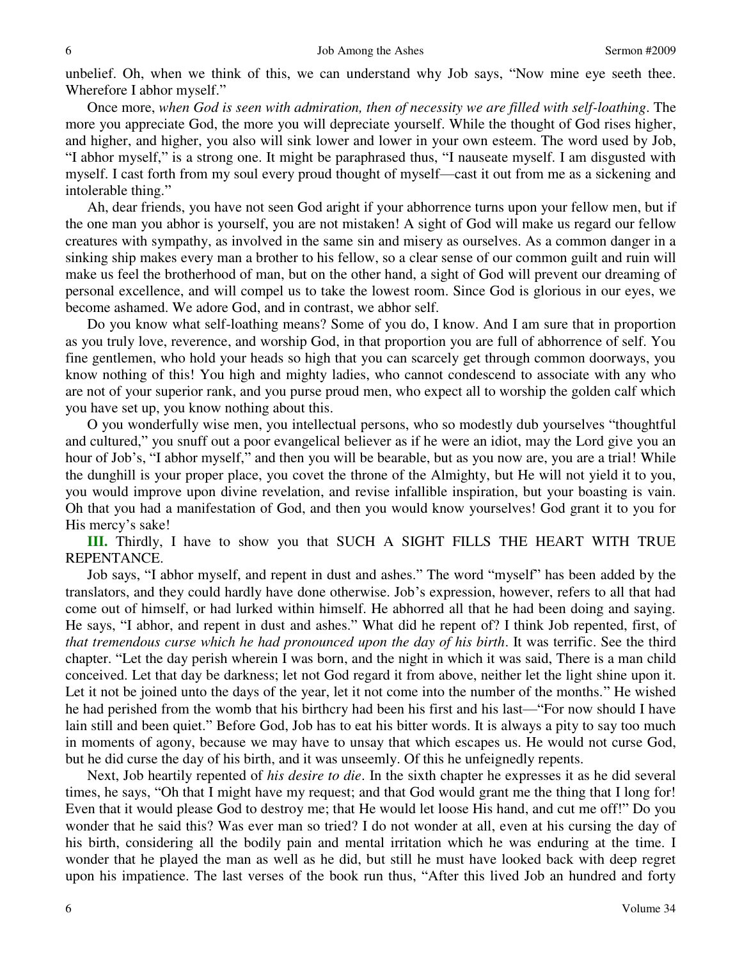unbelief. Oh, when we think of this, we can understand why Job says, "Now mine eye seeth thee. Wherefore I abhor myself."

Once more, *when God is seen with admiration, then of necessity we are filled with self-loathing*. The more you appreciate God, the more you will depreciate yourself. While the thought of God rises higher, and higher, and higher, you also will sink lower and lower in your own esteem. The word used by Job, "I abhor myself," is a strong one. It might be paraphrased thus, "I nauseate myself. I am disgusted with myself. I cast forth from my soul every proud thought of myself—cast it out from me as a sickening and intolerable thing."

Ah, dear friends, you have not seen God aright if your abhorrence turns upon your fellow men, but if the one man you abhor is yourself, you are not mistaken! A sight of God will make us regard our fellow creatures with sympathy, as involved in the same sin and misery as ourselves. As a common danger in a sinking ship makes every man a brother to his fellow, so a clear sense of our common guilt and ruin will make us feel the brotherhood of man, but on the other hand, a sight of God will prevent our dreaming of personal excellence, and will compel us to take the lowest room. Since God is glorious in our eyes, we become ashamed. We adore God, and in contrast, we abhor self.

Do you know what self-loathing means? Some of you do, I know. And I am sure that in proportion as you truly love, reverence, and worship God, in that proportion you are full of abhorrence of self. You fine gentlemen, who hold your heads so high that you can scarcely get through common doorways, you know nothing of this! You high and mighty ladies, who cannot condescend to associate with any who are not of your superior rank, and you purse proud men, who expect all to worship the golden calf which you have set up, you know nothing about this.

O you wonderfully wise men, you intellectual persons, who so modestly dub yourselves "thoughtful and cultured," you snuff out a poor evangelical believer as if he were an idiot, may the Lord give you an hour of Job's, "I abhor myself," and then you will be bearable, but as you now are, you are a trial! While the dunghill is your proper place, you covet the throne of the Almighty, but He will not yield it to you, you would improve upon divine revelation, and revise infallible inspiration, but your boasting is vain. Oh that you had a manifestation of God, and then you would know yourselves! God grant it to you for His mercy's sake!

**III.** Thirdly, I have to show you that SUCH A SIGHT FILLS THE HEART WITH TRUE REPENTANCE.

Job says, "I abhor myself, and repent in dust and ashes." The word "myself" has been added by the translators, and they could hardly have done otherwise. Job's expression, however, refers to all that had come out of himself, or had lurked within himself. He abhorred all that he had been doing and saying. He says, "I abhor, and repent in dust and ashes." What did he repent of? I think Job repented, first, of *that tremendous curse which he had pronounced upon the day of his birth*. It was terrific. See the third chapter. "Let the day perish wherein I was born, and the night in which it was said, There is a man child conceived. Let that day be darkness; let not God regard it from above, neither let the light shine upon it. Let it not be joined unto the days of the year, let it not come into the number of the months." He wished he had perished from the womb that his birthcry had been his first and his last—"For now should I have lain still and been quiet." Before God, Job has to eat his bitter words. It is always a pity to say too much in moments of agony, because we may have to unsay that which escapes us. He would not curse God, but he did curse the day of his birth, and it was unseemly. Of this he unfeignedly repents.

Next, Job heartily repented of *his desire to die*. In the sixth chapter he expresses it as he did several times, he says, "Oh that I might have my request; and that God would grant me the thing that I long for! Even that it would please God to destroy me; that He would let loose His hand, and cut me off!" Do you wonder that he said this? Was ever man so tried? I do not wonder at all, even at his cursing the day of his birth, considering all the bodily pain and mental irritation which he was enduring at the time. I wonder that he played the man as well as he did, but still he must have looked back with deep regret upon his impatience. The last verses of the book run thus, "After this lived Job an hundred and forty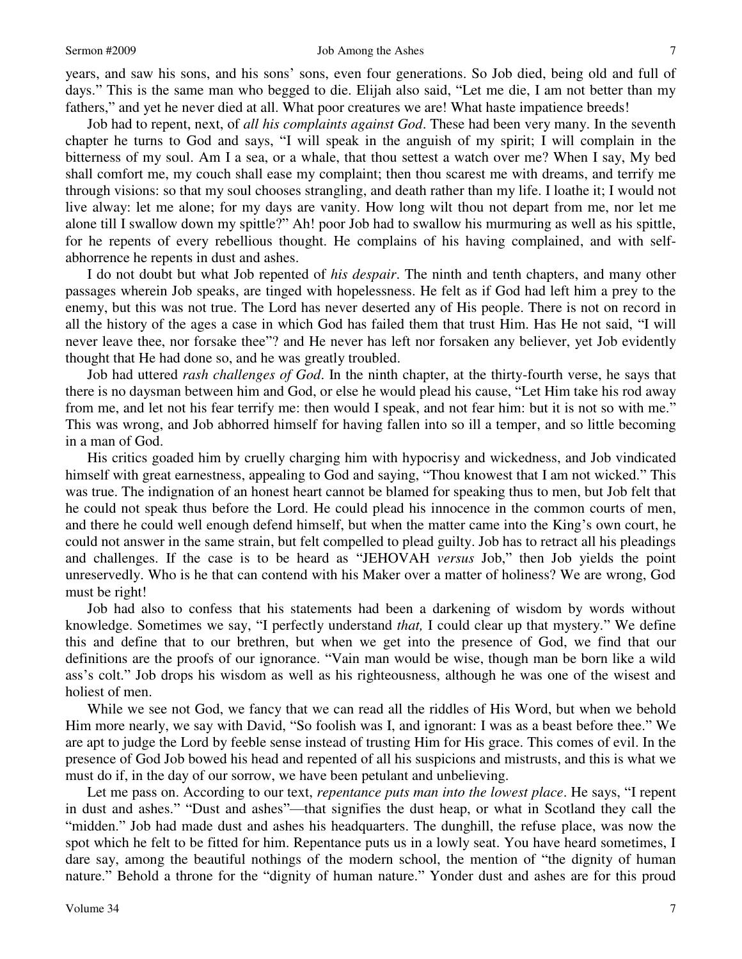#### Sermon #2009 Job Among the Ashes

years, and saw his sons, and his sons' sons, even four generations. So Job died, being old and full of days." This is the same man who begged to die. Elijah also said, "Let me die, I am not better than my fathers," and yet he never died at all. What poor creatures we are! What haste impatience breeds!

Job had to repent, next, of *all his complaints against God*. These had been very many. In the seventh chapter he turns to God and says, "I will speak in the anguish of my spirit; I will complain in the bitterness of my soul. Am I a sea, or a whale, that thou settest a watch over me? When I say, My bed shall comfort me, my couch shall ease my complaint; then thou scarest me with dreams, and terrify me through visions: so that my soul chooses strangling, and death rather than my life. I loathe it; I would not live alway: let me alone; for my days are vanity. How long wilt thou not depart from me, nor let me alone till I swallow down my spittle?" Ah! poor Job had to swallow his murmuring as well as his spittle, for he repents of every rebellious thought. He complains of his having complained, and with selfabhorrence he repents in dust and ashes.

I do not doubt but what Job repented of *his despair*. The ninth and tenth chapters, and many other passages wherein Job speaks, are tinged with hopelessness. He felt as if God had left him a prey to the enemy, but this was not true. The Lord has never deserted any of His people. There is not on record in all the history of the ages a case in which God has failed them that trust Him. Has He not said, "I will never leave thee, nor forsake thee"? and He never has left nor forsaken any believer, yet Job evidently thought that He had done so, and he was greatly troubled.

Job had uttered *rash challenges of God*. In the ninth chapter, at the thirty-fourth verse, he says that there is no daysman between him and God, or else he would plead his cause, "Let Him take his rod away from me, and let not his fear terrify me: then would I speak, and not fear him: but it is not so with me." This was wrong, and Job abhorred himself for having fallen into so ill a temper, and so little becoming in a man of God.

His critics goaded him by cruelly charging him with hypocrisy and wickedness, and Job vindicated himself with great earnestness, appealing to God and saying, "Thou knowest that I am not wicked." This was true. The indignation of an honest heart cannot be blamed for speaking thus to men, but Job felt that he could not speak thus before the Lord. He could plead his innocence in the common courts of men, and there he could well enough defend himself, but when the matter came into the King's own court, he could not answer in the same strain, but felt compelled to plead guilty. Job has to retract all his pleadings and challenges. If the case is to be heard as "JEHOVAH *versus* Job," then Job yields the point unreservedly. Who is he that can contend with his Maker over a matter of holiness? We are wrong, God must be right!

Job had also to confess that his statements had been a darkening of wisdom by words without knowledge. Sometimes we say, "I perfectly understand *that,* I could clear up that mystery." We define this and define that to our brethren, but when we get into the presence of God, we find that our definitions are the proofs of our ignorance. "Vain man would be wise, though man be born like a wild ass's colt." Job drops his wisdom as well as his righteousness, although he was one of the wisest and holiest of men.

While we see not God, we fancy that we can read all the riddles of His Word, but when we behold Him more nearly, we say with David, "So foolish was I, and ignorant: I was as a beast before thee." We are apt to judge the Lord by feeble sense instead of trusting Him for His grace. This comes of evil. In the presence of God Job bowed his head and repented of all his suspicions and mistrusts, and this is what we must do if, in the day of our sorrow, we have been petulant and unbelieving.

Let me pass on. According to our text, *repentance puts man into the lowest place*. He says, "I repent in dust and ashes." "Dust and ashes"—that signifies the dust heap, or what in Scotland they call the "midden." Job had made dust and ashes his headquarters. The dunghill, the refuse place, was now the spot which he felt to be fitted for him. Repentance puts us in a lowly seat. You have heard sometimes, I dare say, among the beautiful nothings of the modern school, the mention of "the dignity of human nature." Behold a throne for the "dignity of human nature." Yonder dust and ashes are for this proud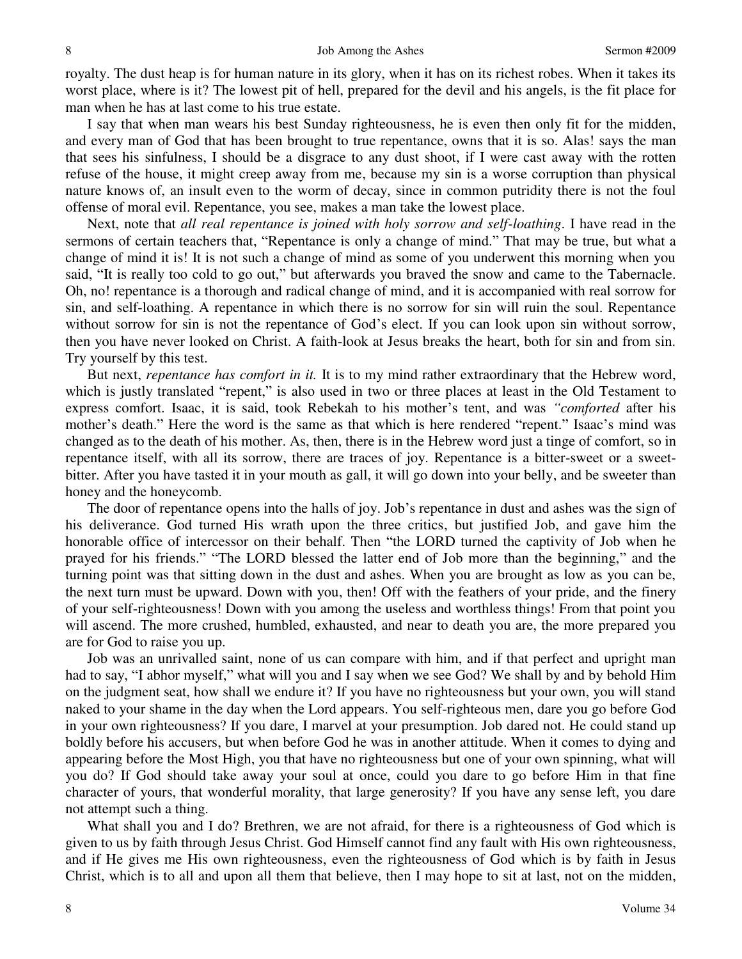royalty. The dust heap is for human nature in its glory, when it has on its richest robes. When it takes its worst place, where is it? The lowest pit of hell, prepared for the devil and his angels, is the fit place for man when he has at last come to his true estate.

I say that when man wears his best Sunday righteousness, he is even then only fit for the midden, and every man of God that has been brought to true repentance, owns that it is so. Alas! says the man that sees his sinfulness, I should be a disgrace to any dust shoot, if I were cast away with the rotten refuse of the house, it might creep away from me, because my sin is a worse corruption than physical nature knows of, an insult even to the worm of decay, since in common putridity there is not the foul offense of moral evil. Repentance, you see, makes a man take the lowest place.

Next, note that *all real repentance is joined with holy sorrow and self-loathing*. I have read in the sermons of certain teachers that, "Repentance is only a change of mind." That may be true, but what a change of mind it is! It is not such a change of mind as some of you underwent this morning when you said, "It is really too cold to go out," but afterwards you braved the snow and came to the Tabernacle. Oh, no! repentance is a thorough and radical change of mind, and it is accompanied with real sorrow for sin, and self-loathing. A repentance in which there is no sorrow for sin will ruin the soul. Repentance without sorrow for sin is not the repentance of God's elect. If you can look upon sin without sorrow, then you have never looked on Christ. A faith-look at Jesus breaks the heart, both for sin and from sin. Try yourself by this test.

But next, *repentance has comfort in it.* It is to my mind rather extraordinary that the Hebrew word, which is justly translated "repent," is also used in two or three places at least in the Old Testament to express comfort. Isaac, it is said, took Rebekah to his mother's tent, and was *"comforted* after his mother's death." Here the word is the same as that which is here rendered "repent." Isaac's mind was changed as to the death of his mother. As, then, there is in the Hebrew word just a tinge of comfort, so in repentance itself, with all its sorrow, there are traces of joy. Repentance is a bitter-sweet or a sweetbitter. After you have tasted it in your mouth as gall, it will go down into your belly, and be sweeter than honey and the honeycomb.

The door of repentance opens into the halls of joy. Job's repentance in dust and ashes was the sign of his deliverance. God turned His wrath upon the three critics, but justified Job, and gave him the honorable office of intercessor on their behalf. Then "the LORD turned the captivity of Job when he prayed for his friends." "The LORD blessed the latter end of Job more than the beginning," and the turning point was that sitting down in the dust and ashes. When you are brought as low as you can be, the next turn must be upward. Down with you, then! Off with the feathers of your pride, and the finery of your self-righteousness! Down with you among the useless and worthless things! From that point you will ascend. The more crushed, humbled, exhausted, and near to death you are, the more prepared you are for God to raise you up.

Job was an unrivalled saint, none of us can compare with him, and if that perfect and upright man had to say, "I abhor myself," what will you and I say when we see God? We shall by and by behold Him on the judgment seat, how shall we endure it? If you have no righteousness but your own, you will stand naked to your shame in the day when the Lord appears. You self-righteous men, dare you go before God in your own righteousness? If you dare, I marvel at your presumption. Job dared not. He could stand up boldly before his accusers, but when before God he was in another attitude. When it comes to dying and appearing before the Most High, you that have no righteousness but one of your own spinning, what will you do? If God should take away your soul at once, could you dare to go before Him in that fine character of yours, that wonderful morality, that large generosity? If you have any sense left, you dare not attempt such a thing.

What shall you and I do? Brethren, we are not afraid, for there is a righteousness of God which is given to us by faith through Jesus Christ. God Himself cannot find any fault with His own righteousness, and if He gives me His own righteousness, even the righteousness of God which is by faith in Jesus Christ, which is to all and upon all them that believe, then I may hope to sit at last, not on the midden,